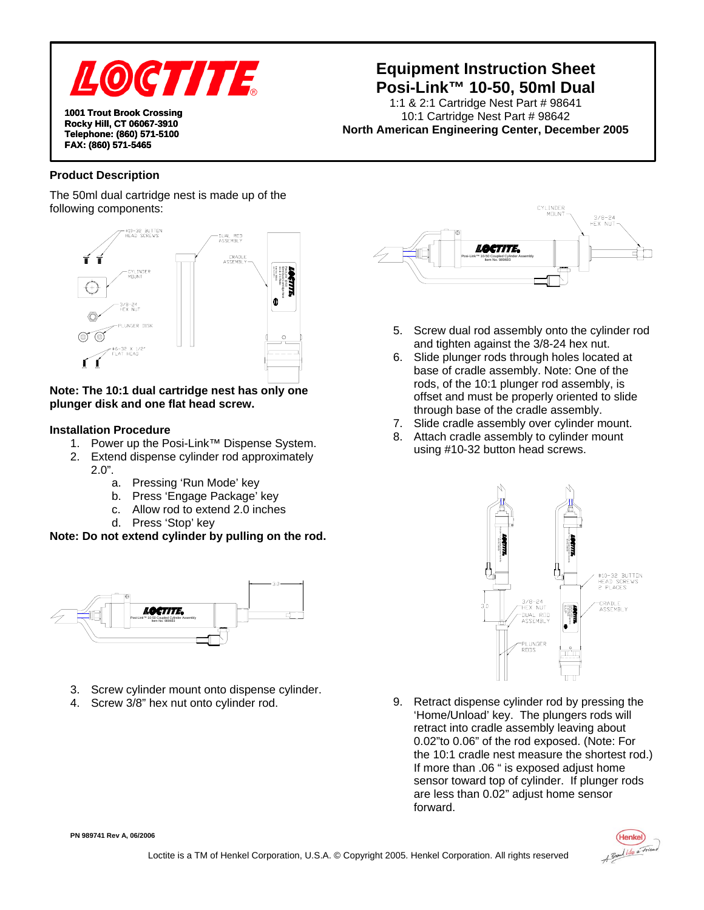

**1001 Trout Brook Crossing Rocky Hill, CT 06067-3910 Telephone: (860) 571-5100 FAX: (860) 571-5465** 

# **Equipment Instruction Sheet Posi-Link™ 10-50, 50ml Dual**

1:1 & 2:1 Cartridge Nest Part # 98641 10:1 Cartridge Nest Part # 98642 **North American Engineering Center, December 2005** 

### **Product Description**

The 50ml dual cartridge nest is made up of the following components:



### **Note: The 10:1 dual cartridge nest has only one plunger disk and one flat head screw.**

#### **Installation Procedure**

- 1. Power up the Posi-Link™ Dispense System.
- 2. Extend dispense cylinder rod approximately 2.0".
	- a. Pressing 'Run Mode' key
	- b. Press 'Engage Package' key
	- c. Allow rod to extend 2.0 inches
	- d. Press 'Stop' key

**Note: Do not extend cylinder by pulling on the rod.** 



- 3. Screw cylinder mount onto dispense cylinder.
- 4. Screw 3/8" hex nut onto cylinder rod.



- 5. Screw dual rod assembly onto the cylinder rod and tighten against the 3/8-24 hex nut.
- 6. Slide plunger rods through holes located at base of cradle assembly. Note: One of the rods, of the 10:1 plunger rod assembly, is offset and must be properly oriented to slide through base of the cradle assembly.
- 7. Slide cradle assembly over cylinder mount.
- 8. Attach cradle assembly to cylinder mount using #10-32 button head screws.



9. Retract dispense cylinder rod by pressing the 'Home/Unload' key. The plungers rods will retract into cradle assembly leaving about 0.02"to 0.06" of the rod exposed. (Note: For the 10:1 cradle nest measure the shortest rod.) If more than .06 " is exposed adjust home sensor toward top of cylinder. If plunger rods are less than 0.02" adjust home sensor forward.